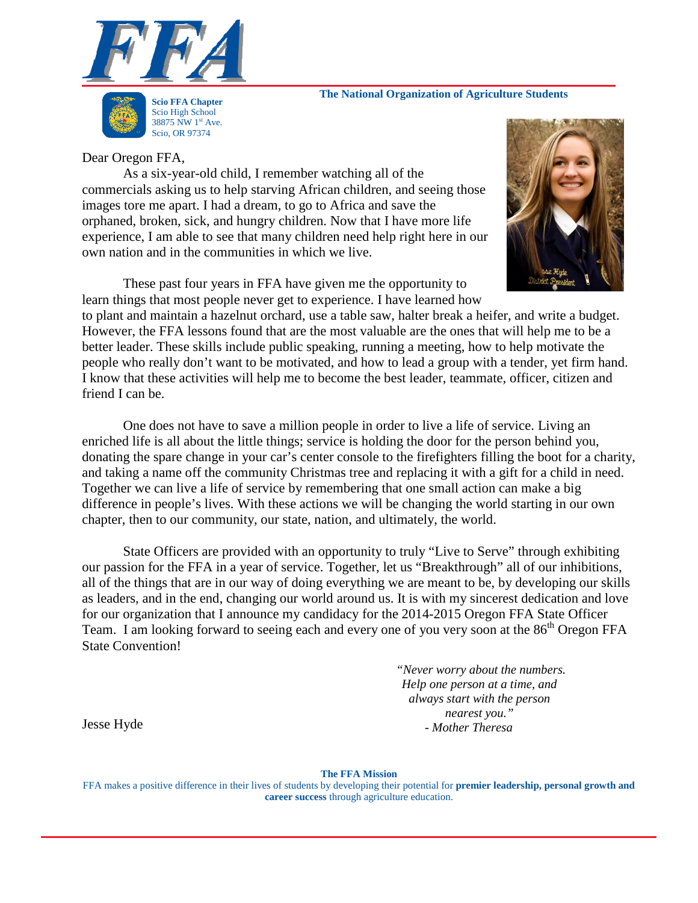



 **The National Organization of Agriculture Students**

## Dear Oregon FFA,

As a six-year-old child, I remember watching all of the commercials asking us to help starving African children, and seeing those images tore me apart. I had a dream, to go to Africa and save the orphaned, broken, sick, and hungry children. Now that I have more life experience, I am able to see that many children need help right here in our own nation and in the communities in which we live.

These past four years in FFA have given me the opportunity to learn things that most people never get to experience. I have learned how



to plant and maintain a hazelnut orchard, use a table saw, halter break a heifer, and write a budget. However, the FFA lessons found that are the most valuable are the ones that will help me to be a better leader. These skills include public speaking, running a meeting, how to help motivate the people who really don't want to be motivated, and how to lead a group with a tender, yet firm hand. I know that these activities will help me to become the best leader, teammate, officer, citizen and friend I can be.

One does not have to save a million people in order to live a life of service. Living an enriched life is all about the little things; service is holding the door for the person behind you, donating the spare change in your car's center console to the firefighters filling the boot for a charity, and taking a name off the community Christmas tree and replacing it with a gift for a child in need. Together we can live a life of service by remembering that one small action can make a big difference in people's lives. With these actions we will be changing the world starting in our own chapter, then to our community, our state, nation, and ultimately, the world.

State Officers are provided with an opportunity to truly "Live to Serve" through exhibiting our passion for the FFA in a year of service. Together, let us "Breakthrough" all of our inhibitions, all of the things that are in our way of doing everything we are meant to be, by developing our skills as leaders, and in the end, changing our world around us. It is with my sincerest dedication and love for our organization that I announce my candidacy for the 2014-2015 Oregon FFA State Officer Team. I am looking forward to seeing each and every one of you very soon at the 86<sup>th</sup> Oregon FFA State Convention!

> *"Never worry about the numbers. Help one person at a time, and always start with the person nearest you." - Mother Theresa*

Jesse Hyde

**The FFA Mission** FFA makes a positive difference in their lives of students by developing their potential for **premier leadership, personal growth and career success** through agriculture education.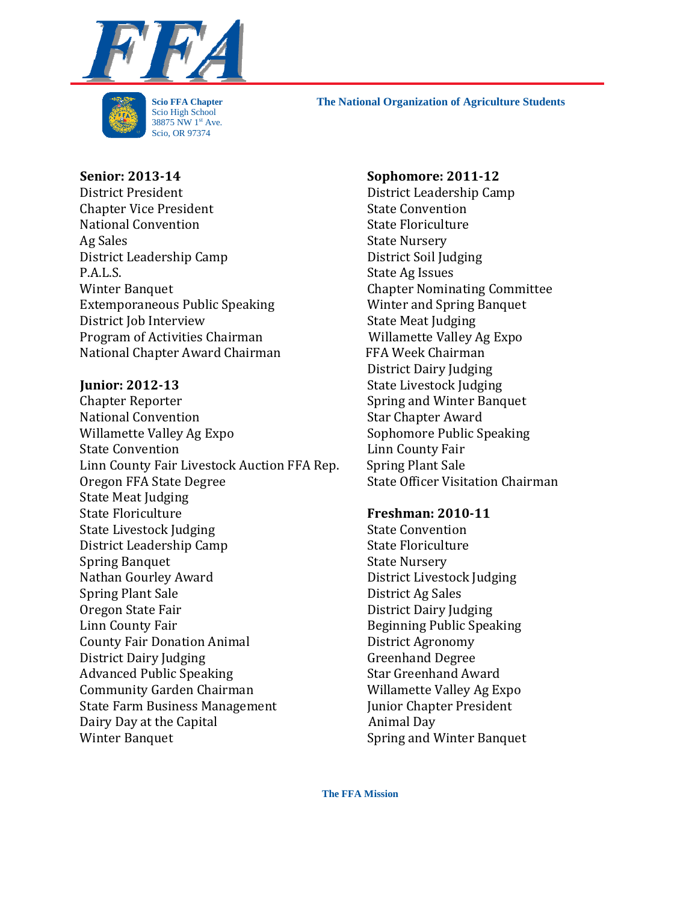



**The National Organization of Agriculture Students** 

District President **District Leadership Camp** Chapter Vice President State Convention National Convention State Floriculture Ag Sales State Nursery District Leadership Camp District Soil Judging P.A.L.S. State Ag Issues Winter Banquet **Chapter Nominating Committee** Extemporaneous Public Speaking Winter and Spring Banquet District Job Interview State Meat Judging Program of Activities Chairman Willamette Valley Ag Expo National Chapter Award Chairman FFA Week Chairman

Chapter Reporter Spring and Winter Banquet National Convention Star Chapter Award Willamette Valley Ag Expo Sophomore Public Speaking State Convention **Linn County Fair** Linn County Fair Livestock Auction FFA Rep. Spring Plant Sale Oregon FFA State Degree State Officer Visitation Chairman State Meat Judging State Floriculture **Freshman: 2010-11** State Livestock Judging State Convention District Leadership Camp State Floriculture Spring Banquet Spring Banquet State Nursery Nathan Gourley Award District Livestock Judging Spring Plant Sale District Ag Sales Oregon State Fair **District Dairy Judging** Linn County Fair **Beginning Public Speaking** County Fair Donation Animal District Agronomy District Dairy Judging Greenhand Degree Advanced Public Speaking Star Greenhand Award Community Garden Chairman Willamette Valley Ag Expo State Farm Business Management Junior Chapter President Dairy Day at the Capital Day Animal Day Winter Banquet **Spring and Winter Banquet** Spring and Winter Banquet

# **Senior: 2013-14 Sophomore: 2011-12**

 District Dairy Judging **Junior: 2012-13** State Livestock Judging

 **The FFA Mission**